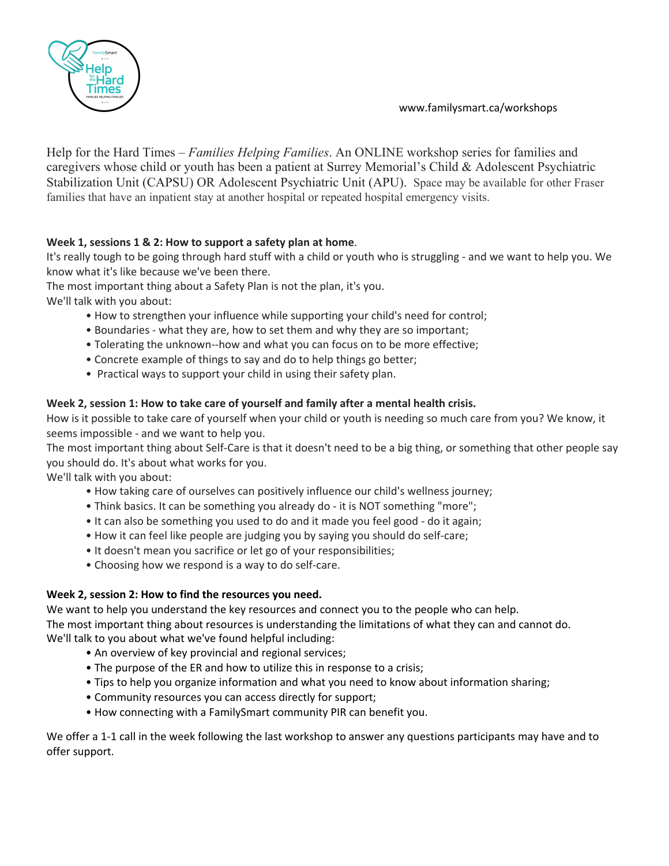## www.familysmart.ca/workshops



Help for the Hard Times – *Families Helping Families*. An ONLINE workshop series for families and caregivers whose child or youth has been a patient at Surrey Memorial's Child & Adolescent Psychiatric Stabilization Unit (CAPSU) OR Adolescent Psychiatric Unit (APU). Space may be available for other Fraser families that have an inpatient stay at another hospital or repeated hospital emergency visits.

## **Week 1, sessions 1 & 2: How to support a safety plan at home**.

It's really tough to be going through hard stuff with a child or youth who is struggling - and we want to help you. We know what it's like because we've been there.

The most important thing about a Safety Plan is not the plan, it's you.

We'll talk with you about:

- How to strengthen your influence while supporting your child's need for control;
- Boundaries what they are, how to set them and why they are so important;
- Tolerating the unknown--how and what you can focus on to be more effective;
- Concrete example of things to say and do to help things go better;
- Practical ways to support your child in using their safety plan.

## **Week 2, session 1: How to take care of yourself and family after a mental health crisis.**

How is it possible to take care of yourself when your child or youth is needing so much care from you? We know, it seems impossible - and we want to help you.

The most important thing about Self-Care is that it doesn't need to be a big thing, or something that other people say you should do. It's about what works for you.

We'll talk with you about:

- How taking care of ourselves can positively influence our child's wellness journey;
- Think basics. It can be something you already do it is NOT something "more";
- It can also be something you used to do and it made you feel good do it again;
- How it can feel like people are judging you by saying you should do self-care;
- It doesn't mean you sacrifice or let go of your responsibilities;
- Choosing how we respond is a way to do self-care.

## **Week 2, session 2: How to find the resources you need.**

We want to help you understand the key resources and connect you to the people who can help. The most important thing about resources is understanding the limitations of what they can and cannot do. We'll talk to you about what we've found helpful including:

- An overview of key provincial and regional services;
- The purpose of the ER and how to utilize this in response to a crisis;
- Tips to help you organize information and what you need to know about information sharing;
- Community resources you can access directly for support;
- How connecting with a FamilySmart community PIR can benefit you.

We offer a 1-1 call in the week following the last workshop to answer any questions participants may have and to offer support.